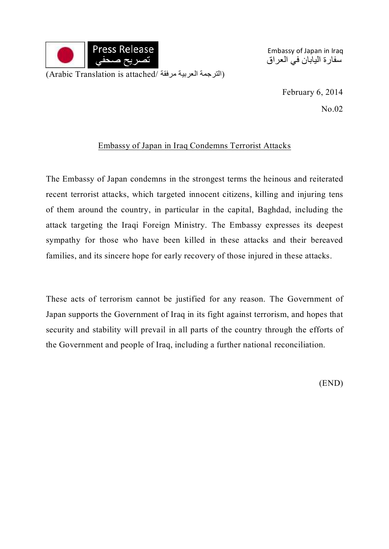

Embassy of Japan in Iraq سفارة اليابان في العراق

> February 6, 2014 No.02

## Embassy of Japan in Iraq Condemns Terrorist Attacks

The Embassy of Japan condemns in the strongest terms the heinous and reiterated recent terrorist attacks, which targeted innocent citizens, killing and injuring tens of them around the country, in particular in the capital, Baghdad, including the attack targeting the Iraqi Foreign Ministry. The Embassy expresses its deepest sympathy for those who have been killed in these attacks and their bereaved families, and its sincere hope for early recovery of those injured in these attacks.

These acts of terrorism cannot be justified for any reason. The Government of Japan supports the Government of Iraq in its fight against terrorism, and hopes that security and stability will prevail in all parts of the country through the efforts of the Government and people of Iraq, including a further national reconciliation.

(END)